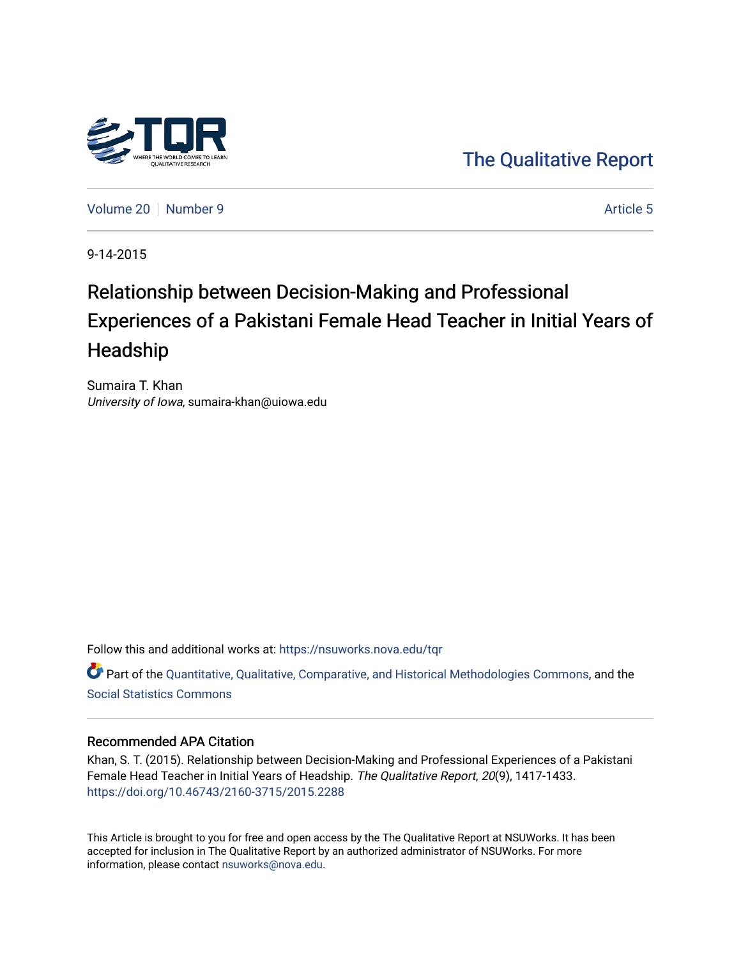

[The Qualitative Report](https://nsuworks.nova.edu/tqr) 

[Volume 20](https://nsuworks.nova.edu/tqr/vol20) [Number 9](https://nsuworks.nova.edu/tqr/vol20/iss9) [Article 5](https://nsuworks.nova.edu/tqr/vol20/iss9/5) Article 5

9-14-2015

# Relationship between Decision-Making and Professional Experiences of a Pakistani Female Head Teacher in Initial Years of Headship

Sumaira T. Khan University of Iowa, sumaira-khan@uiowa.edu

Follow this and additional works at: [https://nsuworks.nova.edu/tqr](https://nsuworks.nova.edu/tqr?utm_source=nsuworks.nova.edu%2Ftqr%2Fvol20%2Fiss9%2F5&utm_medium=PDF&utm_campaign=PDFCoverPages) 

Part of the [Quantitative, Qualitative, Comparative, and Historical Methodologies Commons,](http://network.bepress.com/hgg/discipline/423?utm_source=nsuworks.nova.edu%2Ftqr%2Fvol20%2Fiss9%2F5&utm_medium=PDF&utm_campaign=PDFCoverPages) and the [Social Statistics Commons](http://network.bepress.com/hgg/discipline/1275?utm_source=nsuworks.nova.edu%2Ftqr%2Fvol20%2Fiss9%2F5&utm_medium=PDF&utm_campaign=PDFCoverPages) 

# Recommended APA Citation

Khan, S. T. (2015). Relationship between Decision-Making and Professional Experiences of a Pakistani Female Head Teacher in Initial Years of Headship. The Qualitative Report, 20(9), 1417-1433. <https://doi.org/10.46743/2160-3715/2015.2288>

This Article is brought to you for free and open access by the The Qualitative Report at NSUWorks. It has been accepted for inclusion in The Qualitative Report by an authorized administrator of NSUWorks. For more information, please contact [nsuworks@nova.edu.](mailto:nsuworks@nova.edu)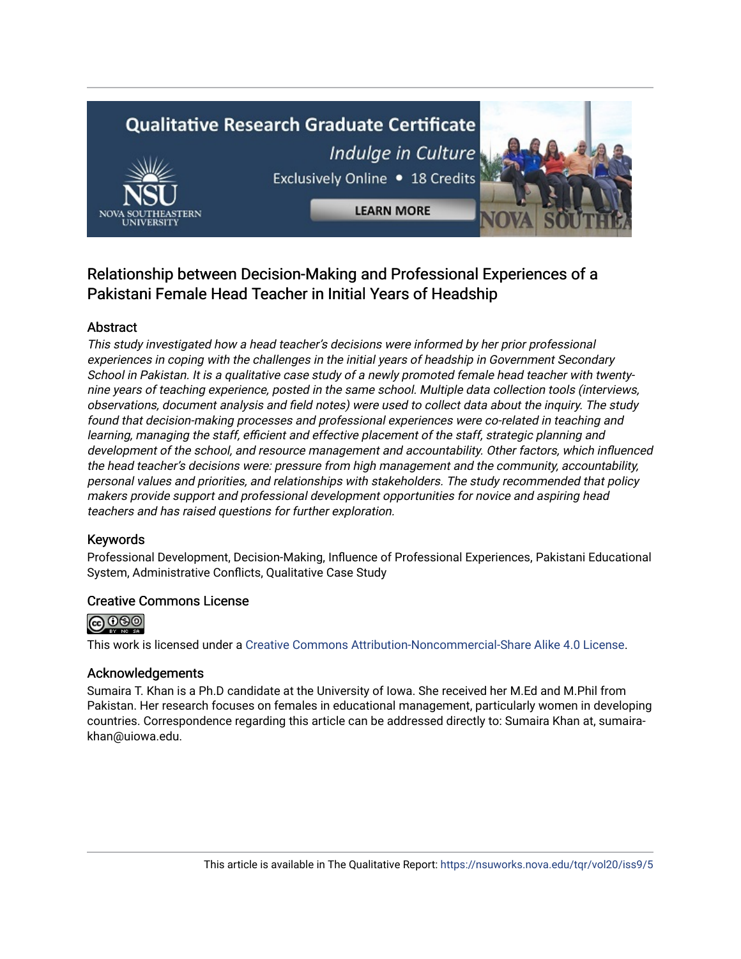# **Qualitative Research Graduate Certificate** Indulge in Culture Exclusively Online . 18 Credits



**LEARN MORE** 



# Relationship between Decision-Making and Professional Experiences of a Pakistani Female Head Teacher in Initial Years of Headship

# Abstract

This study investigated how a head teacher's decisions were informed by her prior professional experiences in coping with the challenges in the initial years of headship in Government Secondary School in Pakistan. It is a qualitative case study of a newly promoted female head teacher with twentynine years of teaching experience, posted in the same school. Multiple data collection tools (interviews, observations, document analysis and field notes) were used to collect data about the inquiry. The study found that decision-making processes and professional experiences were co-related in teaching and learning, managing the staff, efficient and effective placement of the staff, strategic planning and development of the school, and resource management and accountability. Other factors, which influenced the head teacher's decisions were: pressure from high management and the community, accountability, personal values and priorities, and relationships with stakeholders. The study recommended that policy makers provide support and professional development opportunities for novice and aspiring head teachers and has raised questions for further exploration.

# Keywords

Professional Development, Decision-Making, Influence of Professional Experiences, Pakistani Educational System, Administrative Conflicts, Qualitative Case Study

# Creative Commons License



This work is licensed under a [Creative Commons Attribution-Noncommercial-Share Alike 4.0 License](https://creativecommons.org/licenses/by-nc-sa/4.0/).

# Acknowledgements

Sumaira T. Khan is a Ph.D candidate at the University of Iowa. She received her M.Ed and M.Phil from Pakistan. Her research focuses on females in educational management, particularly women in developing countries. Correspondence regarding this article can be addressed directly to: Sumaira Khan at, sumairakhan@uiowa.edu.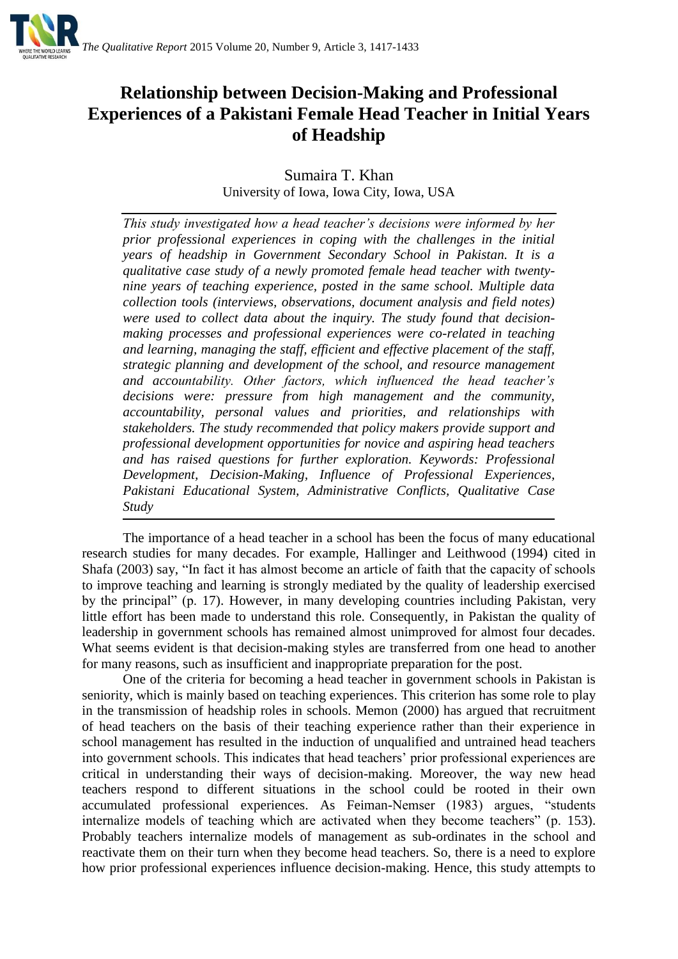

# **Relationship between Decision-Making and Professional Experiences of a Pakistani Female Head Teacher in Initial Years of Headship**

Sumaira T. Khan University of Iowa, Iowa City, Iowa, USA

*This study investigated how a head teacher's decisions were informed by her prior professional experiences in coping with the challenges in the initial years of headship in Government Secondary School in Pakistan. It is a qualitative case study of a newly promoted female head teacher with twentynine years of teaching experience, posted in the same school. Multiple data collection tools (interviews, observations, document analysis and field notes) were used to collect data about the inquiry. The study found that decisionmaking processes and professional experiences were co-related in teaching and learning, managing the staff, efficient and effective placement of the staff, strategic planning and development of the school, and resource management and accountability. Other factors, which influenced the head teacher's decisions were: pressure from high management and the community, accountability, personal values and priorities, and relationships with stakeholders. The study recommended that policy makers provide support and professional development opportunities for novice and aspiring head teachers and has raised questions for further exploration. Keywords: Professional Development, Decision-Making, Influence of Professional Experiences, Pakistani Educational System, Administrative Conflicts, Qualitative Case Study* 

The importance of a head teacher in a school has been the focus of many educational research studies for many decades. For example, Hallinger and Leithwood (1994) cited in Shafa (2003) say, "In fact it has almost become an article of faith that the capacity of schools to improve teaching and learning is strongly mediated by the quality of leadership exercised by the principal" (p. 17). However, in many developing countries including Pakistan, very little effort has been made to understand this role. Consequently, in Pakistan the quality of leadership in government schools has remained almost unimproved for almost four decades. What seems evident is that decision-making styles are transferred from one head to another for many reasons, such as insufficient and inappropriate preparation for the post.

One of the criteria for becoming a head teacher in government schools in Pakistan is seniority, which is mainly based on teaching experiences. This criterion has some role to play in the transmission of headship roles in schools. Memon (2000) has argued that recruitment of head teachers on the basis of their teaching experience rather than their experience in school management has resulted in the induction of unqualified and untrained head teachers into government schools. This indicates that head teachers' prior professional experiences are critical in understanding their ways of decision-making. Moreover, the way new head teachers respond to different situations in the school could be rooted in their own accumulated professional experiences. As Feiman-Nemser (1983) argues, "students internalize models of teaching which are activated when they become teachers" (p. 153). Probably teachers internalize models of management as sub-ordinates in the school and reactivate them on their turn when they become head teachers. So, there is a need to explore how prior professional experiences influence decision-making. Hence, this study attempts to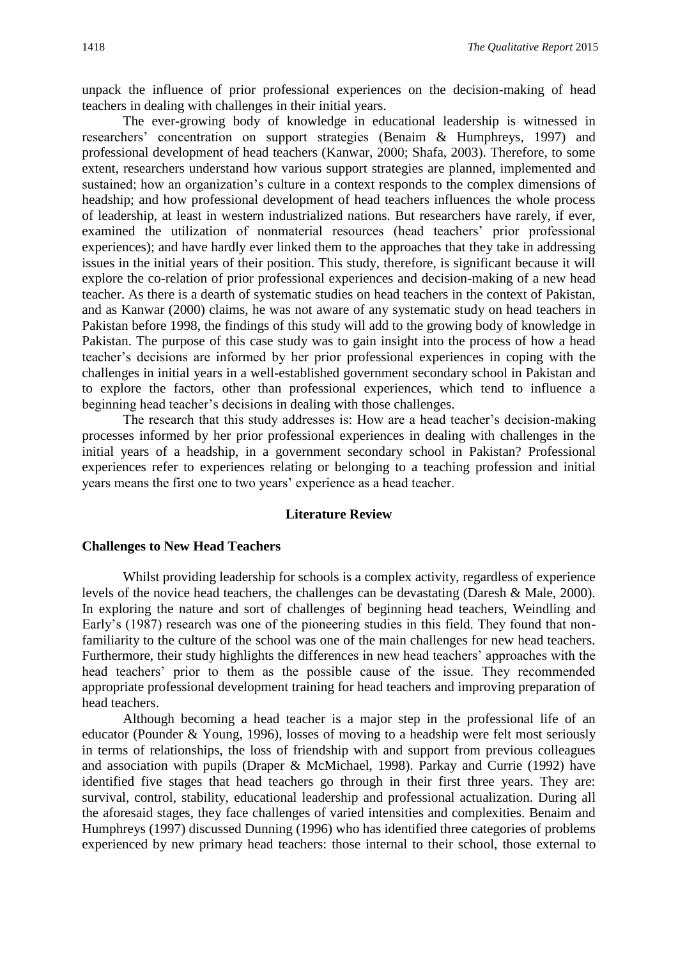unpack the influence of prior professional experiences on the decision-making of head teachers in dealing with challenges in their initial years.

The ever-growing body of knowledge in educational leadership is witnessed in researchers' concentration on support strategies (Benaim & Humphreys, 1997) and professional development of head teachers (Kanwar, 2000; Shafa, 2003). Therefore, to some extent, researchers understand how various support strategies are planned, implemented and sustained; how an organization's culture in a context responds to the complex dimensions of headship; and how professional development of head teachers influences the whole process of leadership, at least in western industrialized nations. But researchers have rarely, if ever, examined the utilization of nonmaterial resources (head teachers' prior professional experiences); and have hardly ever linked them to the approaches that they take in addressing issues in the initial years of their position. This study, therefore, is significant because it will explore the co-relation of prior professional experiences and decision-making of a new head teacher. As there is a dearth of systematic studies on head teachers in the context of Pakistan, and as Kanwar (2000) claims, he was not aware of any systematic study on head teachers in Pakistan before 1998, the findings of this study will add to the growing body of knowledge in Pakistan. The purpose of this case study was to gain insight into the process of how a head teacher's decisions are informed by her prior professional experiences in coping with the challenges in initial years in a well-established government secondary school in Pakistan and to explore the factors, other than professional experiences, which tend to influence a beginning head teacher's decisions in dealing with those challenges.

The research that this study addresses is: How are a head teacher's decision-making processes informed by her prior professional experiences in dealing with challenges in the initial years of a headship, in a government secondary school in Pakistan? Professional experiences refer to experiences relating or belonging to a teaching profession and initial years means the first one to two years' experience as a head teacher.

## **Literature Review**

#### **Challenges to New Head Teachers**

Whilst providing leadership for schools is a complex activity, regardless of experience levels of the novice head teachers, the challenges can be devastating (Daresh & Male, 2000). In exploring the nature and sort of challenges of beginning head teachers, Weindling and Early's (1987) research was one of the pioneering studies in this field. They found that nonfamiliarity to the culture of the school was one of the main challenges for new head teachers. Furthermore, their study highlights the differences in new head teachers' approaches with the head teachers' prior to them as the possible cause of the issue. They recommended appropriate professional development training for head teachers and improving preparation of head teachers.

Although becoming a head teacher is a major step in the professional life of an educator (Pounder & Young, 1996), losses of moving to a headship were felt most seriously in terms of relationships, the loss of friendship with and support from previous colleagues and association with pupils (Draper & McMichael, 1998). Parkay and Currie (1992) have identified five stages that head teachers go through in their first three years. They are: survival, control, stability, educational leadership and professional actualization. During all the aforesaid stages, they face challenges of varied intensities and complexities. Benaim and Humphreys (1997) discussed Dunning (1996) who has identified three categories of problems experienced by new primary head teachers: those internal to their school, those external to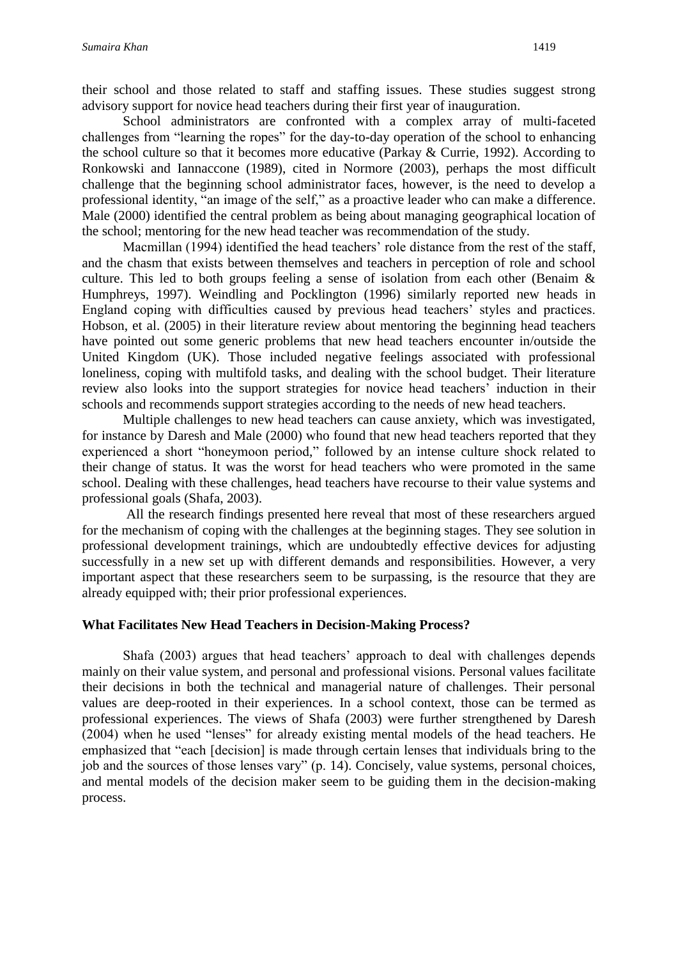their school and those related to staff and staffing issues. These studies suggest strong advisory support for novice head teachers during their first year of inauguration.

School administrators are confronted with a complex array of multi-faceted challenges from "learning the ropes" for the day-to-day operation of the school to enhancing the school culture so that it becomes more educative (Parkay & Currie, 1992). According to Ronkowski and Iannaccone (1989), cited in Normore (2003), perhaps the most difficult challenge that the beginning school administrator faces, however, is the need to develop a professional identity, "an image of the self," as a proactive leader who can make a difference. Male (2000) identified the central problem as being about managing geographical location of the school; mentoring for the new head teacher was recommendation of the study.

Macmillan (1994) identified the head teachers' role distance from the rest of the staff, and the chasm that exists between themselves and teachers in perception of role and school culture. This led to both groups feeling a sense of isolation from each other (Benaim & Humphreys, 1997). Weindling and Pocklington (1996) similarly reported new heads in England coping with difficulties caused by previous head teachers' styles and practices. Hobson, et al. (2005) in their literature review about mentoring the beginning head teachers have pointed out some generic problems that new head teachers encounter in/outside the United Kingdom (UK). Those included negative feelings associated with professional loneliness, coping with multifold tasks, and dealing with the school budget. Their literature review also looks into the support strategies for novice head teachers' induction in their schools and recommends support strategies according to the needs of new head teachers.

Multiple challenges to new head teachers can cause anxiety, which was investigated, for instance by Daresh and Male (2000) who found that new head teachers reported that they experienced a short "honeymoon period," followed by an intense culture shock related to their change of status. It was the worst for head teachers who were promoted in the same school. Dealing with these challenges, head teachers have recourse to their value systems and professional goals (Shafa, 2003).

All the research findings presented here reveal that most of these researchers argued for the mechanism of coping with the challenges at the beginning stages. They see solution in professional development trainings, which are undoubtedly effective devices for adjusting successfully in a new set up with different demands and responsibilities. However, a very important aspect that these researchers seem to be surpassing, is the resource that they are already equipped with; their prior professional experiences.

# **What Facilitates New Head Teachers in Decision-Making Process?**

Shafa (2003) argues that head teachers' approach to deal with challenges depends mainly on their value system, and personal and professional visions. Personal values facilitate their decisions in both the technical and managerial nature of challenges. Their personal values are deep-rooted in their experiences. In a school context, those can be termed as professional experiences. The views of Shafa (2003) were further strengthened by Daresh (2004) when he used "lenses" for already existing mental models of the head teachers. He emphasized that "each [decision] is made through certain lenses that individuals bring to the job and the sources of those lenses vary" (p. 14). Concisely, value systems, personal choices, and mental models of the decision maker seem to be guiding them in the decision-making process.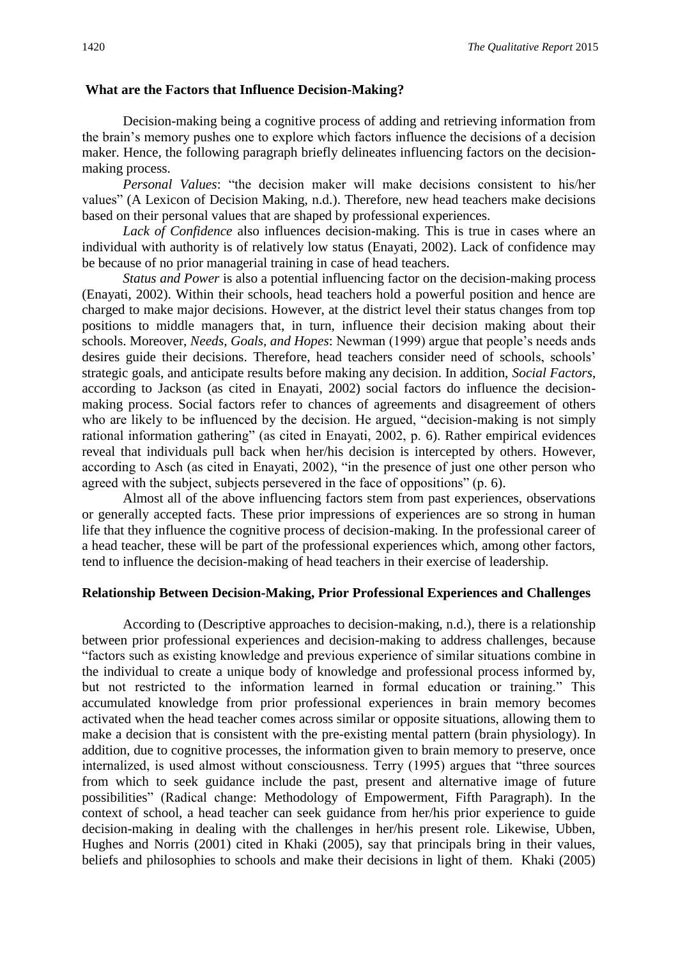## **What are the Factors that Influence Decision-Making?**

Decision-making being a cognitive process of adding and retrieving information from the brain's memory pushes one to explore which factors influence the decisions of a decision maker. Hence, the following paragraph briefly delineates influencing factors on the decisionmaking process.

*Personal Values*: "the decision maker will make decisions consistent to his/her values" (A Lexicon of Decision Making, n.d.). Therefore, new head teachers make decisions based on their personal values that are shaped by professional experiences.

*Lack of Confidence* also influences decision-making. This is true in cases where an individual with authority is of relatively low status (Enayati, 2002). Lack of confidence may be because of no prior managerial training in case of head teachers.

*Status and Power* is also a potential influencing factor on the decision-making process (Enayati, 2002). Within their schools, head teachers hold a powerful position and hence are charged to make major decisions. However, at the district level their status changes from top positions to middle managers that, in turn, influence their decision making about their schools. Moreover, *Needs, Goals, and Hopes*: Newman (1999) argue that people's needs ands desires guide their decisions. Therefore, head teachers consider need of schools, schools' strategic goals, and anticipate results before making any decision. In addition, *Social Factors*, according to Jackson (as cited in Enayati, 2002) social factors do influence the decisionmaking process. Social factors refer to chances of agreements and disagreement of others who are likely to be influenced by the decision. He argued, "decision-making is not simply rational information gathering" (as cited in Enayati, 2002, p. 6). Rather empirical evidences reveal that individuals pull back when her/his decision is intercepted by others. However, according to Asch (as cited in Enayati, 2002), "in the presence of just one other person who agreed with the subject, subjects persevered in the face of oppositions" (p. 6).

Almost all of the above influencing factors stem from past experiences, observations or generally accepted facts. These prior impressions of experiences are so strong in human life that they influence the cognitive process of decision-making. In the professional career of a head teacher, these will be part of the professional experiences which, among other factors, tend to influence the decision-making of head teachers in their exercise of leadership.

# **Relationship Between Decision-Making, Prior Professional Experiences and Challenges**

According to (Descriptive approaches to decision-making, n.d.), there is a relationship between prior professional experiences and decision-making to address challenges, because "factors such as existing knowledge and previous experience of similar situations combine in the individual to create a unique body of knowledge and professional process informed by, but not restricted to the information learned in formal education or training." This accumulated knowledge from prior professional experiences in brain memory becomes activated when the head teacher comes across similar or opposite situations, allowing them to make a decision that is consistent with the pre-existing mental pattern (brain physiology). In addition, due to cognitive processes, the information given to brain memory to preserve, once internalized, is used almost without consciousness. Terry (1995) argues that "three sources from which to seek guidance include the past, present and alternative image of future possibilities" (Radical change: Methodology of Empowerment, Fifth Paragraph). In the context of school, a head teacher can seek guidance from her/his prior experience to guide decision-making in dealing with the challenges in her/his present role. Likewise, Ubben, Hughes and Norris (2001) cited in Khaki (2005), say that principals bring in their values, beliefs and philosophies to schools and make their decisions in light of them. Khaki (2005)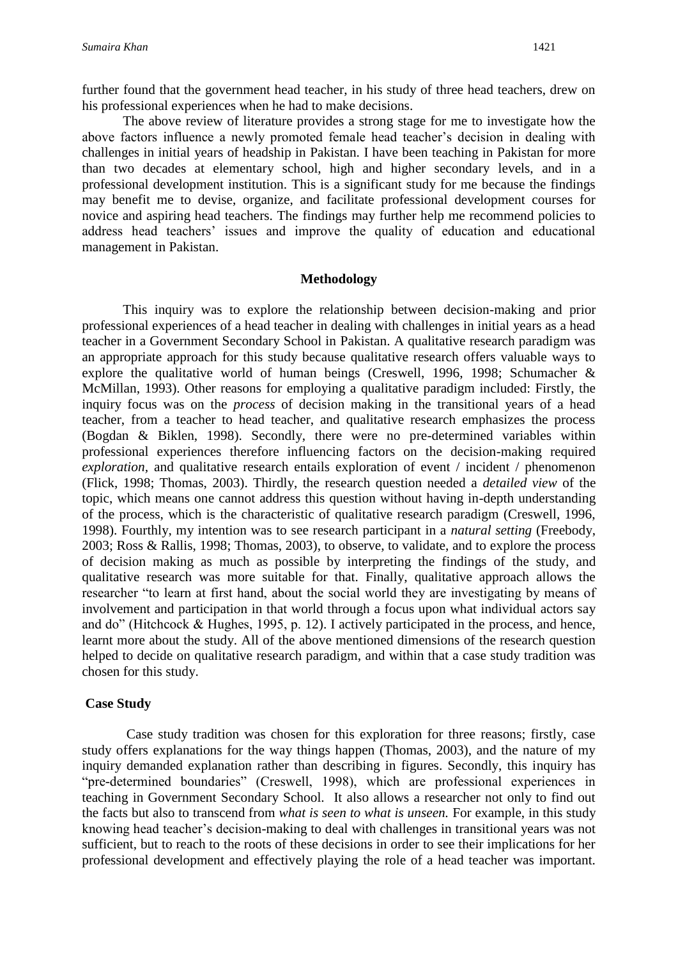further found that the government head teacher, in his study of three head teachers, drew on his professional experiences when he had to make decisions.

The above review of literature provides a strong stage for me to investigate how the above factors influence a newly promoted female head teacher's decision in dealing with challenges in initial years of headship in Pakistan. I have been teaching in Pakistan for more than two decades at elementary school, high and higher secondary levels, and in a professional development institution. This is a significant study for me because the findings may benefit me to devise, organize, and facilitate professional development courses for novice and aspiring head teachers. The findings may further help me recommend policies to address head teachers' issues and improve the quality of education and educational management in Pakistan.

## **Methodology**

This inquiry was to explore the relationship between decision-making and prior professional experiences of a head teacher in dealing with challenges in initial years as a head teacher in a Government Secondary School in Pakistan. A qualitative research paradigm was an appropriate approach for this study because qualitative research offers valuable ways to explore the qualitative world of human beings (Creswell, 1996, 1998; Schumacher & McMillan, 1993). Other reasons for employing a qualitative paradigm included: Firstly, the inquiry focus was on the *process* of decision making in the transitional years of a head teacher, from a teacher to head teacher, and qualitative research emphasizes the process (Bogdan & Biklen, 1998). Secondly, there were no pre-determined variables within professional experiences therefore influencing factors on the decision-making required *exploration*, and qualitative research entails exploration of event / incident / phenomenon (Flick, 1998; Thomas, 2003). Thirdly, the research question needed a *detailed view* of the topic, which means one cannot address this question without having in-depth understanding of the process, which is the characteristic of qualitative research paradigm (Creswell, 1996, 1998). Fourthly, my intention was to see research participant in a *natural setting* (Freebody, 2003; Ross & Rallis, 1998; Thomas, 2003), to observe, to validate, and to explore the process of decision making as much as possible by interpreting the findings of the study, and qualitative research was more suitable for that. Finally, qualitative approach allows the researcher "to learn at first hand, about the social world they are investigating by means of involvement and participation in that world through a focus upon what individual actors say and do" (Hitchcock & Hughes, 1995, p. 12). I actively participated in the process, and hence, learnt more about the study. All of the above mentioned dimensions of the research question helped to decide on qualitative research paradigm, and within that a case study tradition was chosen for this study.

# **Case Study**

Case study tradition was chosen for this exploration for three reasons; firstly, case study offers explanations for the way things happen (Thomas, 2003), and the nature of my inquiry demanded explanation rather than describing in figures. Secondly, this inquiry has "pre-determined boundaries" (Creswell, 1998), which are professional experiences in teaching in Government Secondary School. It also allows a researcher not only to find out the facts but also to transcend from *what is seen to what is unseen.* For example, in this study knowing head teacher's decision-making to deal with challenges in transitional years was not sufficient, but to reach to the roots of these decisions in order to see their implications for her professional development and effectively playing the role of a head teacher was important.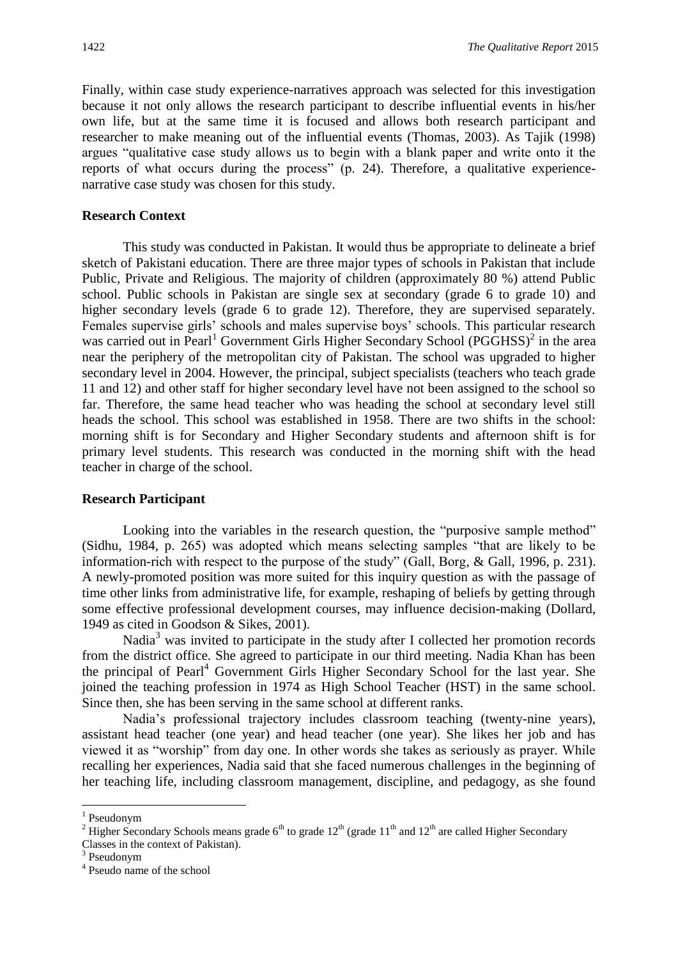Finally, within case study experience-narratives approach was selected for this investigation because it not only allows the research participant to describe influential events in his/her own life, but at the same time it is focused and allows both research participant and researcher to make meaning out of the influential events (Thomas, 2003). As Tajik (1998) argues "qualitative case study allows us to begin with a blank paper and write onto it the reports of what occurs during the process" (p. 24). Therefore, a qualitative experiencenarrative case study was chosen for this study.

# **Research Context**

This study was conducted in Pakistan. It would thus be appropriate to delineate a brief sketch of Pakistani education. There are three major types of schools in Pakistan that include Public, Private and Religious. The majority of children (approximately 80 %) attend Public school. Public schools in Pakistan are single sex at secondary (grade 6 to grade 10) and higher secondary levels (grade 6 to grade 12). Therefore, they are supervised separately. Females supervise girls' schools and males supervise boys' schools. This particular research was carried out in Pearl<sup>1</sup> Government Girls Higher Secondary School (PGGHSS)<sup>2</sup> in the area near the periphery of the metropolitan city of Pakistan. The school was upgraded to higher secondary level in 2004. However, the principal, subject specialists (teachers who teach grade 11 and 12) and other staff for higher secondary level have not been assigned to the school so far. Therefore, the same head teacher who was heading the school at secondary level still heads the school. This school was established in 1958. There are two shifts in the school: morning shift is for Secondary and Higher Secondary students and afternoon shift is for primary level students. This research was conducted in the morning shift with the head teacher in charge of the school.

#### **Research Participant**

Looking into the variables in the research question, the "purposive sample method" (Sidhu, 1984, p. 265) was adopted which means selecting samples "that are likely to be information-rich with respect to the purpose of the study" (Gall, Borg, & Gall, 1996, p. 231). A newly-promoted position was more suited for this inquiry question as with the passage of time other links from administrative life, for example, reshaping of beliefs by getting through some effective professional development courses, may influence decision-making (Dollard, 1949 as cited in Goodson & Sikes, 2001).

Nadia<sup>3</sup> was invited to participate in the study after I collected her promotion records from the district office. She agreed to participate in our third meeting. Nadia Khan has been the principal of Pearl<sup>4</sup> Government Girls Higher Secondary School for the last year. She joined the teaching profession in 1974 as High School Teacher (HST) in the same school. Since then, she has been serving in the same school at different ranks.

Nadia's professional trajectory includes classroom teaching (twenty-nine years), assistant head teacher (one year) and head teacher (one year). She likes her job and has viewed it as "worship" from day one. In other words she takes as seriously as prayer. While recalling her experiences, Nadia said that she faced numerous challenges in the beginning of her teaching life, including classroom management, discipline, and pedagogy, as she found

**.** 

<sup>&</sup>lt;sup>1</sup> Pseudonym

<sup>&</sup>lt;sup>2</sup> Higher Secondary Schools means grade  $6<sup>th</sup>$  to grade  $12<sup>th</sup>$  (grade  $11<sup>th</sup>$  and  $12<sup>th</sup>$  are called Higher Secondary

Classes in the context of Pakistan).

<sup>3</sup> Pseudonym

<sup>4</sup> Pseudo name of the school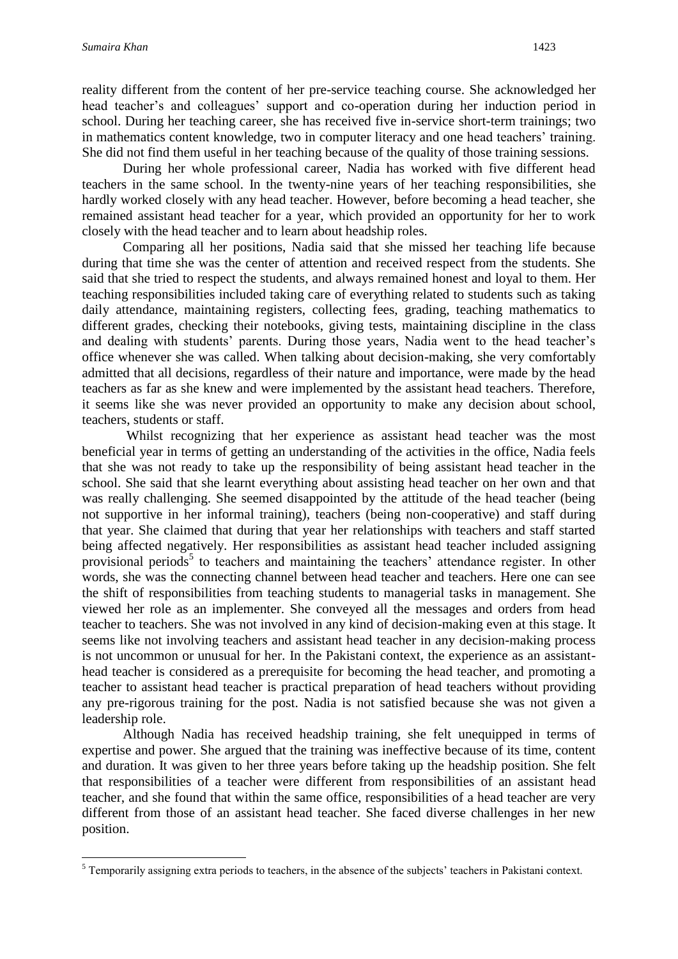**.** 

reality different from the content of her pre-service teaching course. She acknowledged her head teacher's and colleagues' support and co-operation during her induction period in school. During her teaching career, she has received five in-service short-term trainings; two in mathematics content knowledge, two in computer literacy and one head teachers' training. She did not find them useful in her teaching because of the quality of those training sessions.

During her whole professional career, Nadia has worked with five different head teachers in the same school. In the twenty-nine years of her teaching responsibilities, she hardly worked closely with any head teacher. However, before becoming a head teacher, she remained assistant head teacher for a year, which provided an opportunity for her to work closely with the head teacher and to learn about headship roles.

Comparing all her positions, Nadia said that she missed her teaching life because during that time she was the center of attention and received respect from the students. She said that she tried to respect the students, and always remained honest and loyal to them. Her teaching responsibilities included taking care of everything related to students such as taking daily attendance, maintaining registers, collecting fees, grading, teaching mathematics to different grades, checking their notebooks, giving tests, maintaining discipline in the class and dealing with students' parents. During those years, Nadia went to the head teacher's office whenever she was called. When talking about decision-making, she very comfortably admitted that all decisions, regardless of their nature and importance, were made by the head teachers as far as she knew and were implemented by the assistant head teachers. Therefore, it seems like she was never provided an opportunity to make any decision about school, teachers, students or staff.

Whilst recognizing that her experience as assistant head teacher was the most beneficial year in terms of getting an understanding of the activities in the office, Nadia feels that she was not ready to take up the responsibility of being assistant head teacher in the school. She said that she learnt everything about assisting head teacher on her own and that was really challenging. She seemed disappointed by the attitude of the head teacher (being not supportive in her informal training), teachers (being non-cooperative) and staff during that year. She claimed that during that year her relationships with teachers and staff started being affected negatively. Her responsibilities as assistant head teacher included assigning provisional periods<sup>5</sup> to teachers and maintaining the teachers' attendance register. In other words, she was the connecting channel between head teacher and teachers. Here one can see the shift of responsibilities from teaching students to managerial tasks in management. She viewed her role as an implementer. She conveyed all the messages and orders from head teacher to teachers. She was not involved in any kind of decision-making even at this stage. It seems like not involving teachers and assistant head teacher in any decision-making process is not uncommon or unusual for her. In the Pakistani context, the experience as an assistanthead teacher is considered as a prerequisite for becoming the head teacher, and promoting a teacher to assistant head teacher is practical preparation of head teachers without providing any pre-rigorous training for the post. Nadia is not satisfied because she was not given a leadership role.

Although Nadia has received headship training, she felt unequipped in terms of expertise and power. She argued that the training was ineffective because of its time, content and duration. It was given to her three years before taking up the headship position. She felt that responsibilities of a teacher were different from responsibilities of an assistant head teacher, and she found that within the same office, responsibilities of a head teacher are very different from those of an assistant head teacher. She faced diverse challenges in her new position.

 $<sup>5</sup>$  Temporarily assigning extra periods to teachers, in the absence of the subjects' teachers in Pakistani context.</sup>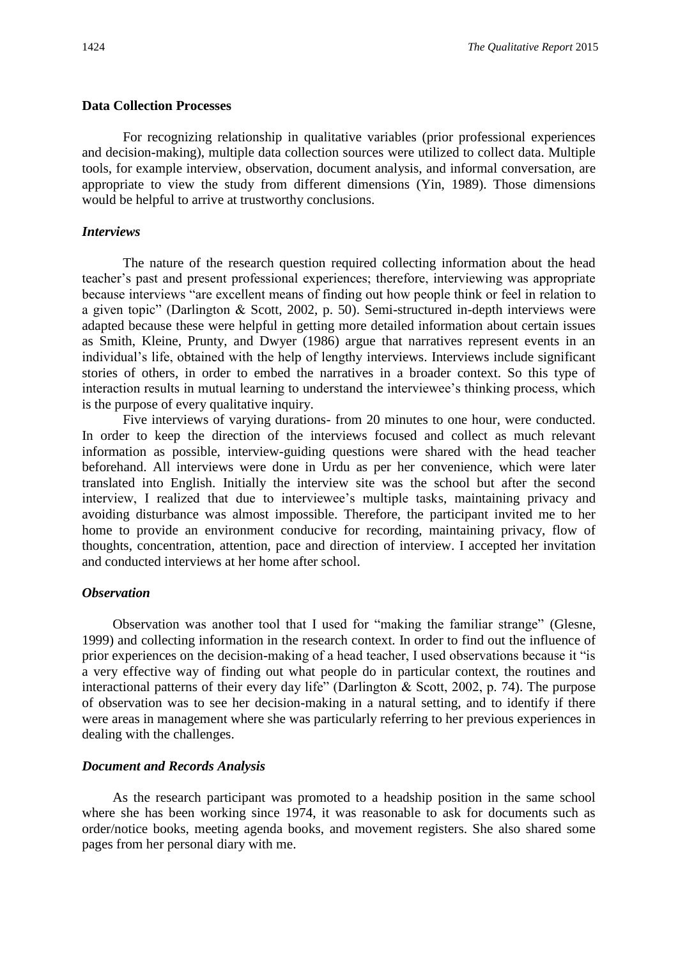### **Data Collection Processes**

For recognizing relationship in qualitative variables (prior professional experiences and decision-making), multiple data collection sources were utilized to collect data. Multiple tools, for example interview, observation, document analysis, and informal conversation, are appropriate to view the study from different dimensions (Yin, 1989). Those dimensions would be helpful to arrive at trustworthy conclusions.

# *Interviews*

The nature of the research question required collecting information about the head teacher's past and present professional experiences; therefore, interviewing was appropriate because interviews "are excellent means of finding out how people think or feel in relation to a given topic" (Darlington & Scott, 2002, p. 50). Semi-structured in-depth interviews were adapted because these were helpful in getting more detailed information about certain issues as Smith, Kleine, Prunty, and Dwyer (1986) argue that narratives represent events in an individual's life, obtained with the help of lengthy interviews. Interviews include significant stories of others, in order to embed the narratives in a broader context. So this type of interaction results in mutual learning to understand the interviewee's thinking process, which is the purpose of every qualitative inquiry.

Five interviews of varying durations- from 20 minutes to one hour, were conducted. In order to keep the direction of the interviews focused and collect as much relevant information as possible, interview-guiding questions were shared with the head teacher beforehand. All interviews were done in Urdu as per her convenience, which were later translated into English. Initially the interview site was the school but after the second interview, I realized that due to interviewee's multiple tasks, maintaining privacy and avoiding disturbance was almost impossible. Therefore, the participant invited me to her home to provide an environment conducive for recording, maintaining privacy, flow of thoughts, concentration, attention, pace and direction of interview. I accepted her invitation and conducted interviews at her home after school.

## *Observation*

Observation was another tool that I used for "making the familiar strange" (Glesne, 1999) and collecting information in the research context. In order to find out the influence of prior experiences on the decision-making of a head teacher, I used observations because it "is a very effective way of finding out what people do in particular context, the routines and interactional patterns of their every day life" (Darlington  $&$  Scott, 2002, p. 74). The purpose of observation was to see her decision-making in a natural setting, and to identify if there were areas in management where she was particularly referring to her previous experiences in dealing with the challenges.

# *Document and Records Analysis*

As the research participant was promoted to a headship position in the same school where she has been working since 1974, it was reasonable to ask for documents such as order/notice books, meeting agenda books, and movement registers. She also shared some pages from her personal diary with me.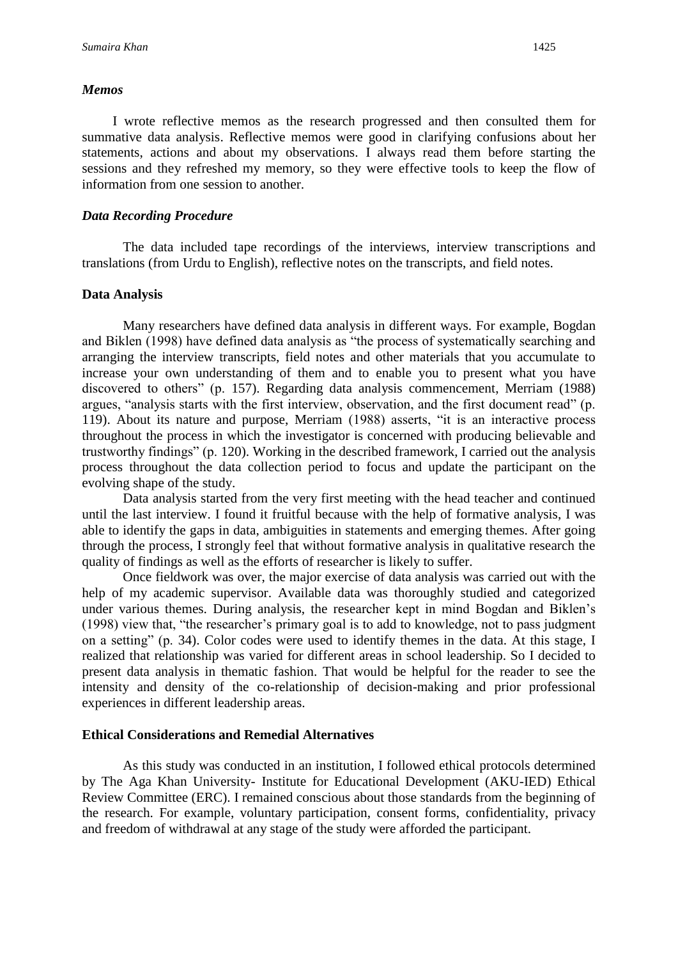#### *Memos*

I wrote reflective memos as the research progressed and then consulted them for summative data analysis. Reflective memos were good in clarifying confusions about her statements, actions and about my observations. I always read them before starting the sessions and they refreshed my memory, so they were effective tools to keep the flow of information from one session to another.

# *Data Recording Procedure*

The data included tape recordings of the interviews, interview transcriptions and translations (from Urdu to English), reflective notes on the transcripts, and field notes.

# **Data Analysis**

Many researchers have defined data analysis in different ways. For example, Bogdan and Biklen (1998) have defined data analysis as "the process of systematically searching and arranging the interview transcripts, field notes and other materials that you accumulate to increase your own understanding of them and to enable you to present what you have discovered to others" (p. 157). Regarding data analysis commencement, Merriam (1988) argues, "analysis starts with the first interview, observation, and the first document read" (p. 119). About its nature and purpose, Merriam (1988) asserts, "it is an interactive process throughout the process in which the investigator is concerned with producing believable and trustworthy findings" (p. 120). Working in the described framework, I carried out the analysis process throughout the data collection period to focus and update the participant on the evolving shape of the study.

Data analysis started from the very first meeting with the head teacher and continued until the last interview. I found it fruitful because with the help of formative analysis, I was able to identify the gaps in data, ambiguities in statements and emerging themes. After going through the process, I strongly feel that without formative analysis in qualitative research the quality of findings as well as the efforts of researcher is likely to suffer.

Once fieldwork was over, the major exercise of data analysis was carried out with the help of my academic supervisor. Available data was thoroughly studied and categorized under various themes. During analysis, the researcher kept in mind Bogdan and Biklen's (1998) view that, "the researcher's primary goal is to add to knowledge, not to pass judgment on a setting" (p. 34). Color codes were used to identify themes in the data. At this stage, I realized that relationship was varied for different areas in school leadership. So I decided to present data analysis in thematic fashion. That would be helpful for the reader to see the intensity and density of the co-relationship of decision-making and prior professional experiences in different leadership areas.

# **Ethical Considerations and Remedial Alternatives**

As this study was conducted in an institution, I followed ethical protocols determined by The Aga Khan University- Institute for Educational Development (AKU-IED) Ethical Review Committee (ERC). I remained conscious about those standards from the beginning of the research. For example, voluntary participation, consent forms, confidentiality, privacy and freedom of withdrawal at any stage of the study were afforded the participant.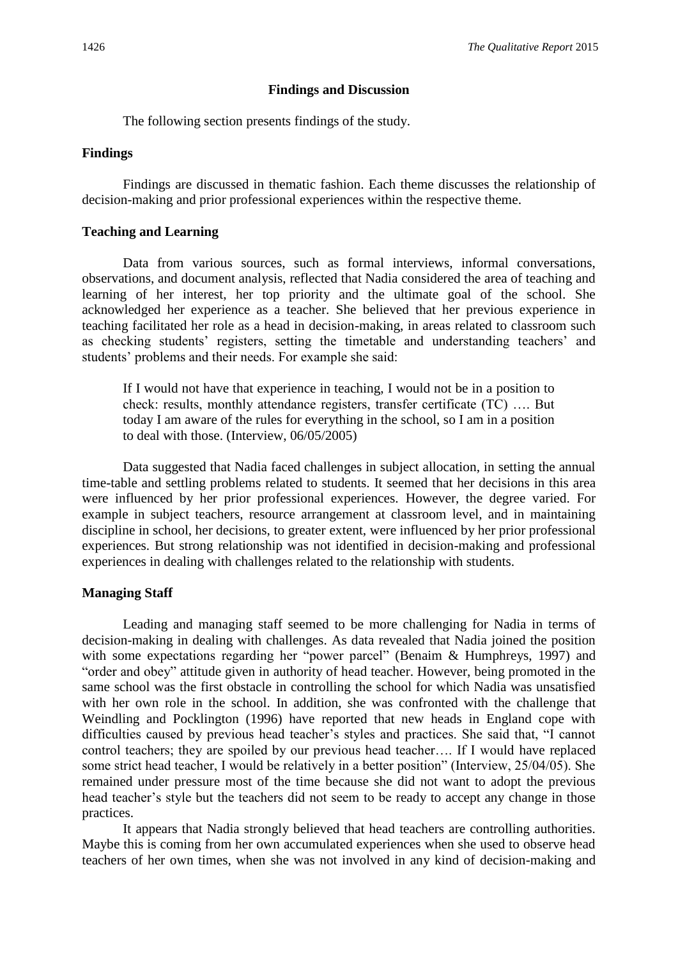#### **Findings and Discussion**

The following section presents findings of the study.

#### **Findings**

Findings are discussed in thematic fashion. Each theme discusses the relationship of decision-making and prior professional experiences within the respective theme.

# **Teaching and Learning**

Data from various sources, such as formal interviews, informal conversations, observations, and document analysis, reflected that Nadia considered the area of teaching and learning of her interest, her top priority and the ultimate goal of the school. She acknowledged her experience as a teacher. She believed that her previous experience in teaching facilitated her role as a head in decision-making, in areas related to classroom such as checking students' registers, setting the timetable and understanding teachers' and students' problems and their needs. For example she said:

If I would not have that experience in teaching, I would not be in a position to check: results, monthly attendance registers, transfer certificate (TC) …. But today I am aware of the rules for everything in the school, so I am in a position to deal with those. (Interview, 06/05/2005)

Data suggested that Nadia faced challenges in subject allocation, in setting the annual time-table and settling problems related to students. It seemed that her decisions in this area were influenced by her prior professional experiences. However, the degree varied. For example in subject teachers, resource arrangement at classroom level, and in maintaining discipline in school, her decisions, to greater extent, were influenced by her prior professional experiences. But strong relationship was not identified in decision-making and professional experiences in dealing with challenges related to the relationship with students.

# **Managing Staff**

Leading and managing staff seemed to be more challenging for Nadia in terms of decision-making in dealing with challenges. As data revealed that Nadia joined the position with some expectations regarding her "power parcel" (Benaim & Humphreys, 1997) and "order and obey" attitude given in authority of head teacher. However, being promoted in the same school was the first obstacle in controlling the school for which Nadia was unsatisfied with her own role in the school. In addition, she was confronted with the challenge that Weindling and Pocklington (1996) have reported that new heads in England cope with difficulties caused by previous head teacher's styles and practices. She said that, "I cannot control teachers; they are spoiled by our previous head teacher…. If I would have replaced some strict head teacher, I would be relatively in a better position" (Interview, 25/04/05). She remained under pressure most of the time because she did not want to adopt the previous head teacher's style but the teachers did not seem to be ready to accept any change in those practices.

It appears that Nadia strongly believed that head teachers are controlling authorities. Maybe this is coming from her own accumulated experiences when she used to observe head teachers of her own times, when she was not involved in any kind of decision-making and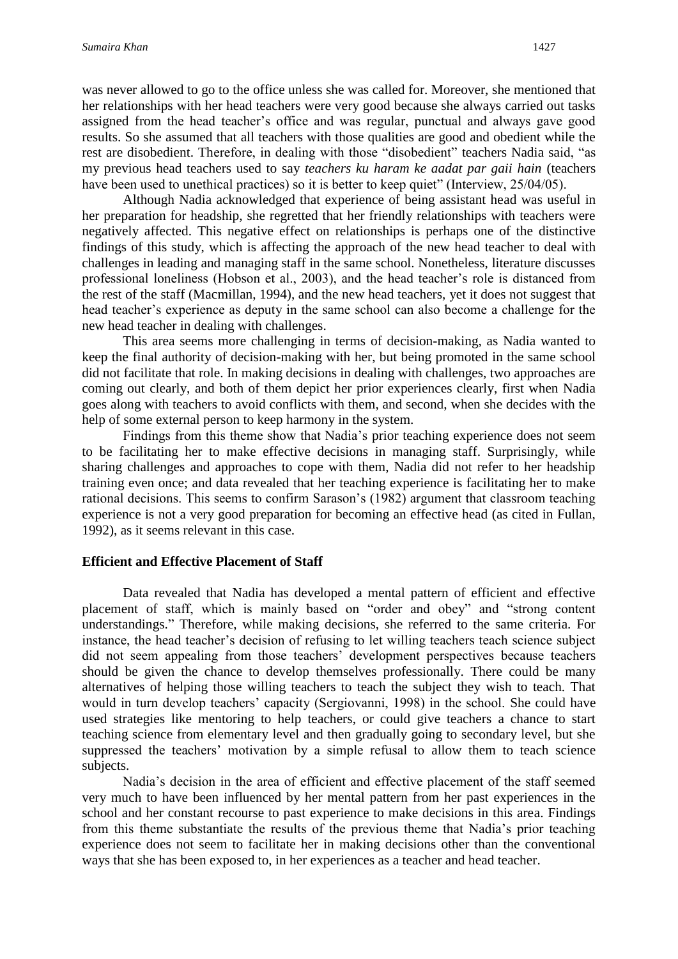was never allowed to go to the office unless she was called for. Moreover, she mentioned that her relationships with her head teachers were very good because she always carried out tasks assigned from the head teacher's office and was regular, punctual and always gave good results. So she assumed that all teachers with those qualities are good and obedient while the rest are disobedient. Therefore, in dealing with those "disobedient" teachers Nadia said, "as my previous head teachers used to say *teachers ku haram ke aadat par gaii hain* (teachers have been used to unethical practices) so it is better to keep quiet" (Interview, 25/04/05).

Although Nadia acknowledged that experience of being assistant head was useful in her preparation for headship, she regretted that her friendly relationships with teachers were negatively affected. This negative effect on relationships is perhaps one of the distinctive findings of this study, which is affecting the approach of the new head teacher to deal with challenges in leading and managing staff in the same school. Nonetheless, literature discusses professional loneliness (Hobson et al., 2003), and the head teacher's role is distanced from the rest of the staff (Macmillan, 1994), and the new head teachers, yet it does not suggest that head teacher's experience as deputy in the same school can also become a challenge for the new head teacher in dealing with challenges.

This area seems more challenging in terms of decision-making, as Nadia wanted to keep the final authority of decision-making with her, but being promoted in the same school did not facilitate that role. In making decisions in dealing with challenges, two approaches are coming out clearly, and both of them depict her prior experiences clearly, first when Nadia goes along with teachers to avoid conflicts with them, and second, when she decides with the help of some external person to keep harmony in the system.

Findings from this theme show that Nadia's prior teaching experience does not seem to be facilitating her to make effective decisions in managing staff. Surprisingly, while sharing challenges and approaches to cope with them, Nadia did not refer to her headship training even once; and data revealed that her teaching experience is facilitating her to make rational decisions. This seems to confirm Sarason's (1982) argument that classroom teaching experience is not a very good preparation for becoming an effective head (as cited in Fullan, 1992), as it seems relevant in this case.

# **Efficient and Effective Placement of Staff**

Data revealed that Nadia has developed a mental pattern of efficient and effective placement of staff, which is mainly based on "order and obey" and "strong content understandings." Therefore, while making decisions, she referred to the same criteria. For instance, the head teacher's decision of refusing to let willing teachers teach science subject did not seem appealing from those teachers' development perspectives because teachers should be given the chance to develop themselves professionally. There could be many alternatives of helping those willing teachers to teach the subject they wish to teach. That would in turn develop teachers' capacity (Sergiovanni, 1998) in the school. She could have used strategies like mentoring to help teachers, or could give teachers a chance to start teaching science from elementary level and then gradually going to secondary level, but she suppressed the teachers' motivation by a simple refusal to allow them to teach science subjects.

Nadia's decision in the area of efficient and effective placement of the staff seemed very much to have been influenced by her mental pattern from her past experiences in the school and her constant recourse to past experience to make decisions in this area. Findings from this theme substantiate the results of the previous theme that Nadia's prior teaching experience does not seem to facilitate her in making decisions other than the conventional ways that she has been exposed to, in her experiences as a teacher and head teacher.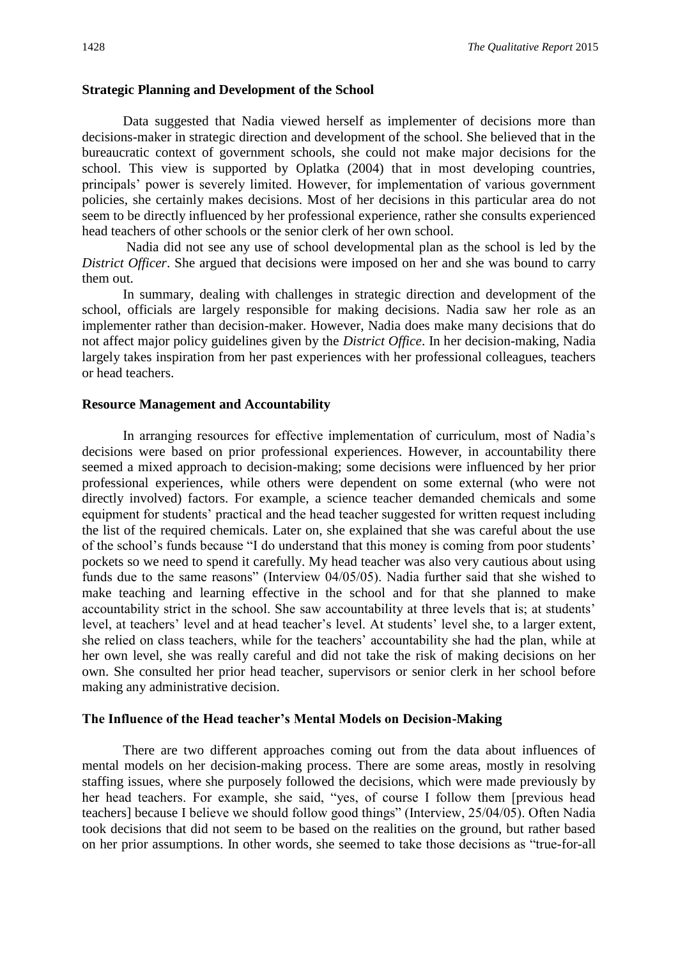# **Strategic Planning and Development of the School**

Data suggested that Nadia viewed herself as implementer of decisions more than decisions-maker in strategic direction and development of the school. She believed that in the bureaucratic context of government schools, she could not make major decisions for the school. This view is supported by Oplatka (2004) that in most developing countries, principals' power is severely limited. However, for implementation of various government policies, she certainly makes decisions. Most of her decisions in this particular area do not seem to be directly influenced by her professional experience, rather she consults experienced head teachers of other schools or the senior clerk of her own school.

Nadia did not see any use of school developmental plan as the school is led by the *District Officer*. She argued that decisions were imposed on her and she was bound to carry them out.

In summary, dealing with challenges in strategic direction and development of the school, officials are largely responsible for making decisions. Nadia saw her role as an implementer rather than decision-maker. However, Nadia does make many decisions that do not affect major policy guidelines given by the *District Office*. In her decision-making, Nadia largely takes inspiration from her past experiences with her professional colleagues, teachers or head teachers.

#### **Resource Management and Accountability**

In arranging resources for effective implementation of curriculum, most of Nadia's decisions were based on prior professional experiences. However, in accountability there seemed a mixed approach to decision-making; some decisions were influenced by her prior professional experiences, while others were dependent on some external (who were not directly involved) factors. For example, a science teacher demanded chemicals and some equipment for students' practical and the head teacher suggested for written request including the list of the required chemicals. Later on, she explained that she was careful about the use of the school's funds because "I do understand that this money is coming from poor students' pockets so we need to spend it carefully. My head teacher was also very cautious about using funds due to the same reasons" (Interview 04/05/05). Nadia further said that she wished to make teaching and learning effective in the school and for that she planned to make accountability strict in the school. She saw accountability at three levels that is; at students' level, at teachers' level and at head teacher's level. At students' level she, to a larger extent, she relied on class teachers, while for the teachers' accountability she had the plan, while at her own level, she was really careful and did not take the risk of making decisions on her own. She consulted her prior head teacher, supervisors or senior clerk in her school before making any administrative decision.

## **The Influence of the Head teacher's Mental Models on Decision-Making**

There are two different approaches coming out from the data about influences of mental models on her decision-making process. There are some areas, mostly in resolving staffing issues, where she purposely followed the decisions, which were made previously by her head teachers. For example, she said, "yes, of course I follow them [previous head teachers] because I believe we should follow good things" (Interview, 25/04/05). Often Nadia took decisions that did not seem to be based on the realities on the ground, but rather based on her prior assumptions. In other words, she seemed to take those decisions as "true-for-all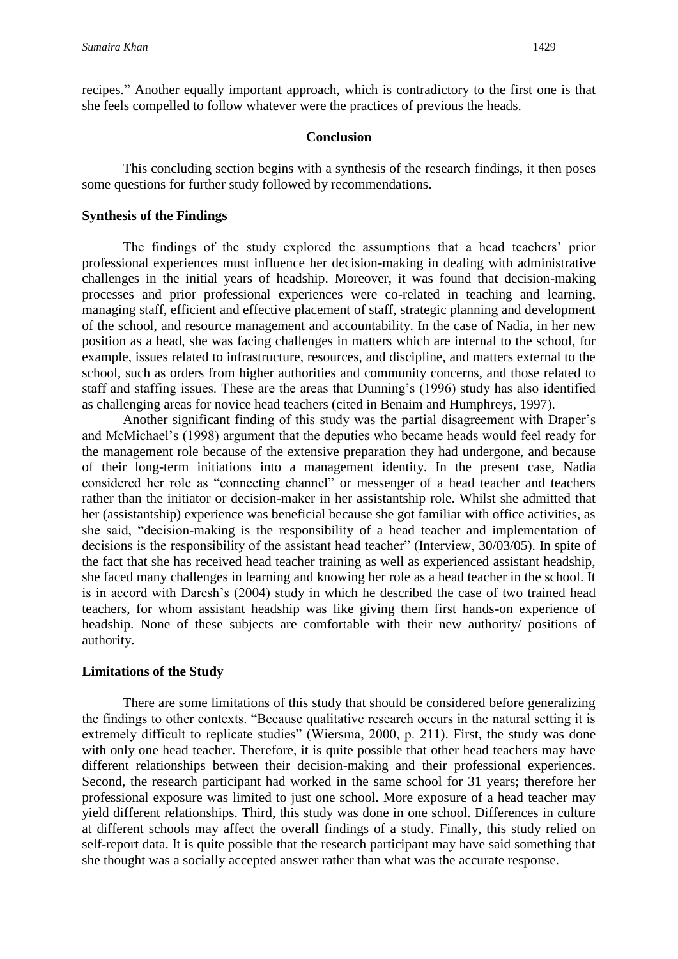recipes." Another equally important approach, which is contradictory to the first one is that she feels compelled to follow whatever were the practices of previous the heads.

#### **Conclusion**

This concluding section begins with a synthesis of the research findings, it then poses some questions for further study followed by recommendations.

# **Synthesis of the Findings**

The findings of the study explored the assumptions that a head teachers' prior professional experiences must influence her decision-making in dealing with administrative challenges in the initial years of headship. Moreover, it was found that decision-making processes and prior professional experiences were co-related in teaching and learning, managing staff, efficient and effective placement of staff, strategic planning and development of the school, and resource management and accountability. In the case of Nadia, in her new position as a head, she was facing challenges in matters which are internal to the school, for example, issues related to infrastructure, resources, and discipline, and matters external to the school, such as orders from higher authorities and community concerns, and those related to staff and staffing issues. These are the areas that Dunning's (1996) study has also identified as challenging areas for novice head teachers (cited in Benaim and Humphreys, 1997).

Another significant finding of this study was the partial disagreement with Draper's and McMichael's (1998) argument that the deputies who became heads would feel ready for the management role because of the extensive preparation they had undergone, and because of their long-term initiations into a management identity. In the present case, Nadia considered her role as "connecting channel" or messenger of a head teacher and teachers rather than the initiator or decision-maker in her assistantship role. Whilst she admitted that her (assistantship) experience was beneficial because she got familiar with office activities, as she said, "decision-making is the responsibility of a head teacher and implementation of decisions is the responsibility of the assistant head teacher" (Interview, 30/03/05). In spite of the fact that she has received head teacher training as well as experienced assistant headship, she faced many challenges in learning and knowing her role as a head teacher in the school. It is in accord with Daresh's (2004) study in which he described the case of two trained head teachers, for whom assistant headship was like giving them first hands-on experience of headship. None of these subjects are comfortable with their new authority/ positions of authority.

## **Limitations of the Study**

There are some limitations of this study that should be considered before generalizing the findings to other contexts. "Because qualitative research occurs in the natural setting it is extremely difficult to replicate studies" (Wiersma, 2000, p. 211). First, the study was done with only one head teacher. Therefore, it is quite possible that other head teachers may have different relationships between their decision-making and their professional experiences. Second, the research participant had worked in the same school for 31 years; therefore her professional exposure was limited to just one school. More exposure of a head teacher may yield different relationships. Third, this study was done in one school. Differences in culture at different schools may affect the overall findings of a study. Finally, this study relied on self-report data. It is quite possible that the research participant may have said something that she thought was a socially accepted answer rather than what was the accurate response.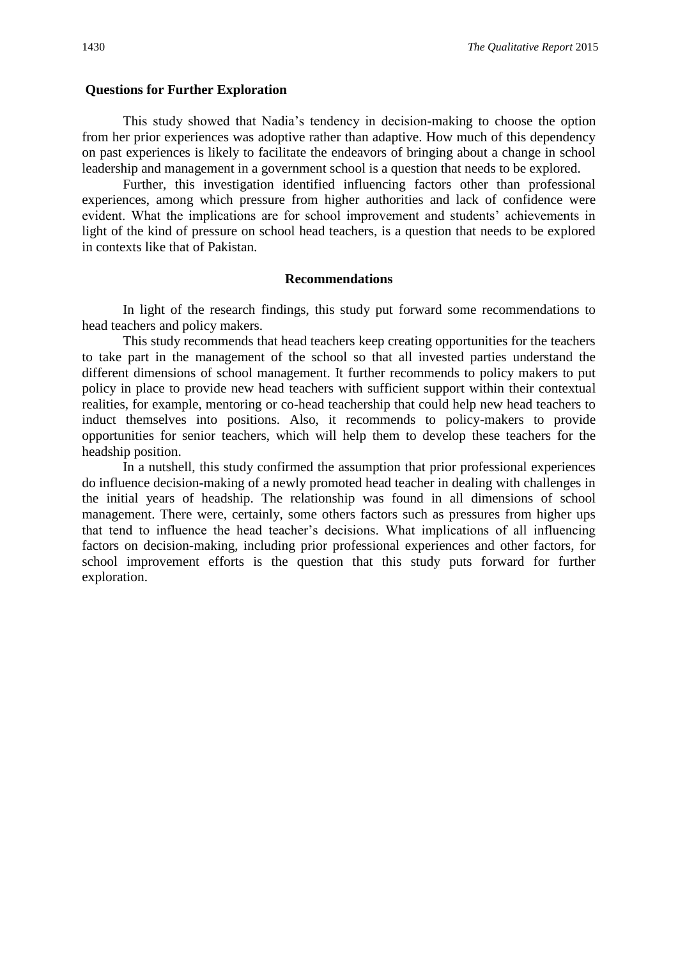# **Questions for Further Exploration**

This study showed that Nadia's tendency in decision-making to choose the option from her prior experiences was adoptive rather than adaptive. How much of this dependency on past experiences is likely to facilitate the endeavors of bringing about a change in school leadership and management in a government school is a question that needs to be explored.

Further, this investigation identified influencing factors other than professional experiences, among which pressure from higher authorities and lack of confidence were evident. What the implications are for school improvement and students' achievements in light of the kind of pressure on school head teachers, is a question that needs to be explored in contexts like that of Pakistan.

#### **Recommendations**

In light of the research findings, this study put forward some recommendations to head teachers and policy makers.

This study recommends that head teachers keep creating opportunities for the teachers to take part in the management of the school so that all invested parties understand the different dimensions of school management. It further recommends to policy makers to put policy in place to provide new head teachers with sufficient support within their contextual realities, for example, mentoring or co-head teachership that could help new head teachers to induct themselves into positions. Also, it recommends to policy-makers to provide opportunities for senior teachers, which will help them to develop these teachers for the headship position.

In a nutshell, this study confirmed the assumption that prior professional experiences do influence decision-making of a newly promoted head teacher in dealing with challenges in the initial years of headship. The relationship was found in all dimensions of school management. There were, certainly, some others factors such as pressures from higher ups that tend to influence the head teacher's decisions. What implications of all influencing factors on decision-making, including prior professional experiences and other factors, for school improvement efforts is the question that this study puts forward for further exploration.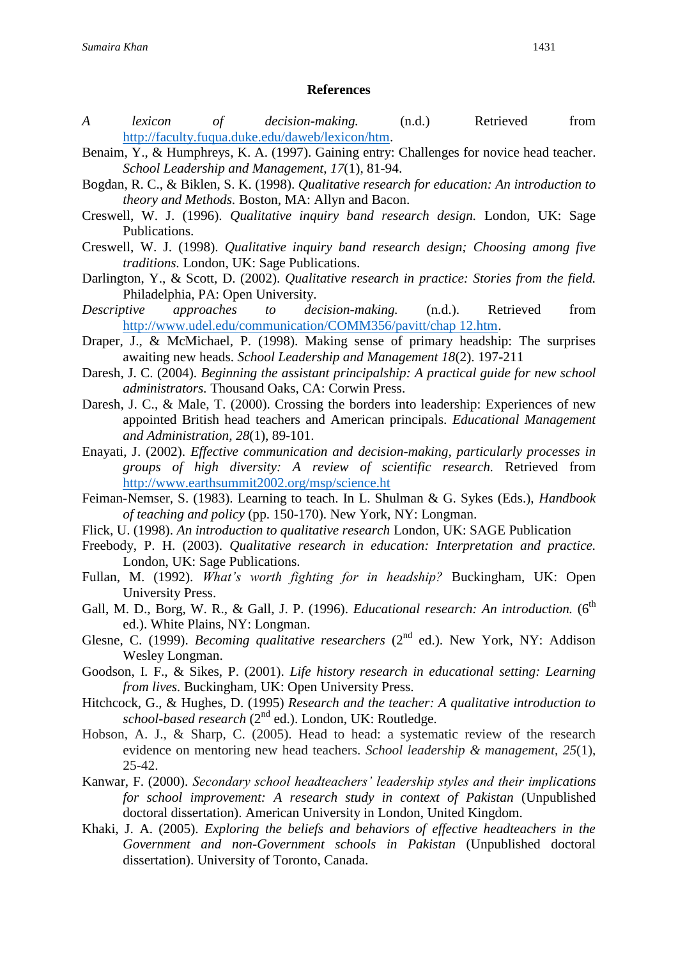# **References**

- *A lexicon of decision-making.* (n.d.) Retrieved from [http://faculty.fuqua.duke.edu/daweb/lexicon/htm.](http://faculty.fuqua.duke.edu/daweb/lexicon/htm)
- Benaim, Y., & Humphreys, K. A. (1997). Gaining entry: Challenges for novice head teacher. *School Leadership and Management*, *17*(1), 81-94.
- Bogdan, R. C., & Biklen, S. K. (1998). *Qualitative research for education: An introduction to theory and Methods.* Boston, MA: Allyn and Bacon.
- Creswell, W. J. (1996). *Qualitative inquiry band research design.* London, UK: Sage Publications.
- Creswell, W. J. (1998). *Qualitative inquiry band research design; Choosing among five traditions.* London, UK: Sage Publications.
- Darlington, Y., & Scott, D. (2002). *Qualitative research in practice: Stories from the field.*  Philadelphia, PA: Open University.
- *Descriptive approaches to decision-making.* (n.d.). Retrieved from [http://www.udel.edu/communication/COMM356/pavitt/chap 12.htm.](http://www.udel.edu/communication/COMM356/pavitt/chap%2012.htm)
- Draper, J., & McMichael, P. (1998). Making sense of primary headship: The surprises awaiting new heads. *School Leadership and Management 18*(2). 197-211
- Daresh, J. C. (2004). *Beginning the assistant principalship: A practical guide for new school administrators.* Thousand Oaks, CA: Corwin Press.
- Daresh, J. C., & Male, T. (2000). Crossing the borders into leadership: Experiences of new appointed British head teachers and American principals. *Educational Management and Administration, 28*(1), 89-101.
- Enayati, J. (2002). *Effective communication and decision-making, particularly processes in groups of high diversity: A review of scientific research.* Retrieved from <http://www.earthsummit2002.org/msp/science.ht>
- Feiman-Nemser, S. (1983). Learning to teach. In L. Shulman & G. Sykes (Eds.), *Handbook of teaching and policy* (pp. 150-170). New York, NY: Longman.
- Flick, U. (1998). *An introduction to qualitative research* London, UK: SAGE Publication
- Freebody, P. H. (2003). *Qualitative research in education: Interpretation and practice.* London, UK: Sage Publications.
- Fullan, M. (1992). *What's worth fighting for in headship?* Buckingham, UK: Open University Press.
- Gall, M. D., Borg, W. R., & Gall, J. P. (1996). *Educational research: An introduction.* (6<sup>th</sup> ed.). White Plains, NY: Longman.
- Glesne, C. (1999). *Becoming qualitative researchers* (2<sup>nd</sup> ed.). New York, NY: Addison Wesley Longman.
- Goodson, I. F., & Sikes, P. (2001). *Life history research in educational setting: Learning from lives.* Buckingham, UK: Open University Press.
- Hitchcock, G., & Hughes, D. (1995) *Research and the teacher: A qualitative introduction to school-based research* (2nd ed.). London, UK: Routledge.
- Hobson, A. J., & Sharp, C. (2005). Head to head: a systematic review of the research evidence on mentoring new head teachers. *School leadership & management*, *25*(1), 25-42.
- Kanwar, F. (2000). *Secondary school headteachers' leadership styles and their implications for school improvement: A research study in context of Pakistan* (Unpublished doctoral dissertation). American University in London, United Kingdom.
- Khaki, J. A. (2005). *Exploring the beliefs and behaviors of effective headteachers in the Government and non-Government schools in Pakistan* (Unpublished doctoral dissertation). University of Toronto, Canada.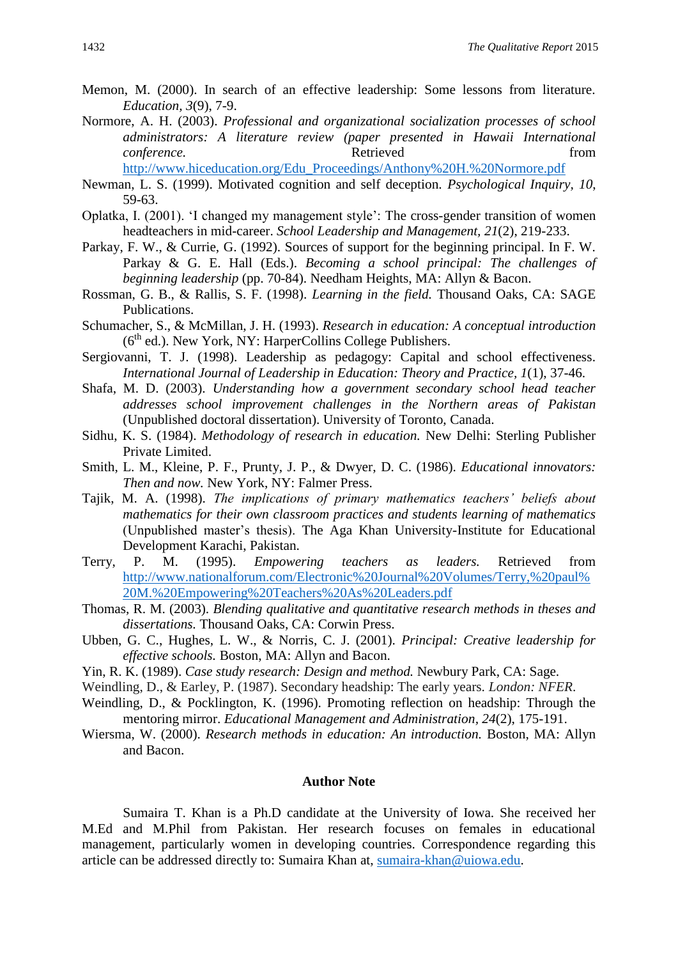- Memon, M. (2000). In search of an effective leadership: Some lessons from literature. *Education, 3*(9), 7-9.
- Normore, A. H. (2003). *Professional and organizational socialization processes of school administrators: A literature review (paper presented in Hawaii International conference.* The retrieved **Retrieved** from *conference*.
	- [http://www.hiceducation.org/Edu\\_Proceedings/Anthony%20H.%20Normore.pdf](http://www.hiceducation.org/Edu_Proceedings/Anthony%20H.%20Normore.pdf)
- Newman, L. S. (1999). Motivated cognition and self deception*. Psychological Inquiry, 10*, 59-63.
- Oplatka, I. (2001). 'I changed my management style': The cross-gender transition of women headteachers in mid-career. *School Leadership and Management, 21*(2), 219-233.
- Parkay, F. W., & Currie, G. (1992). Sources of support for the beginning principal. In F. W. Parkay & G. E. Hall (Eds.). *Becoming a school principal: The challenges of beginning leadership* (pp. 70-84). Needham Heights, MA: Allyn & Bacon.
- Rossman, G. B., & Rallis, S. F. (1998). *Learning in the field.* Thousand Oaks, CA: SAGE Publications.
- Schumacher, S., & McMillan, J. H. (1993). *Research in education: A conceptual introduction*   $(6<sup>th</sup>$  ed.). New York, NY: HarperCollins College Publishers.
- Sergiovanni, T. J. (1998). Leadership as pedagogy: Capital and school effectiveness. *International Journal of Leadership in Education: Theory and Practice, 1*(1), 37-46.
- Shafa, M. D. (2003). *Understanding how a government secondary school head teacher addresses school improvement challenges in the Northern areas of Pakistan*  (Unpublished doctoral dissertation). University of Toronto, Canada.
- Sidhu, K. S. (1984). *Methodology of research in education.* New Delhi: Sterling Publisher Private Limited.
- Smith, L. M., Kleine, P. F., Prunty, J. P., & Dwyer, D. C. (1986). *Educational innovators: Then and now.* New York, NY: Falmer Press.
- Tajik, M. A. (1998). *The implications of primary mathematics teachers' beliefs about mathematics for their own classroom practices and students learning of mathematics*  (Unpublished master's thesis). The Aga Khan University-Institute for Educational Development Karachi, Pakistan.
- Terry, P. M. (1995). *Empowering teachers as leaders.* Retrieved from [http://www.nationalforum.com/Electronic%20Journal%20Volumes/Terry,%20paul%](http://www.nationalforum.com/Electronic%20Journal%20Volumes/Terry,%20paul%20M.%20Empowering%20Teachers%20As%20Leaders.pdf) [20M.%20Empowering%20Teachers%20As%20Leaders.pdf](http://www.nationalforum.com/Electronic%20Journal%20Volumes/Terry,%20paul%20M.%20Empowering%20Teachers%20As%20Leaders.pdf)
- Thomas, R. M. (2003). *Blending qualitative and quantitative research methods in theses and dissertations.* Thousand Oaks, CA: Corwin Press.
- Ubben, G. C., Hughes, L. W., & Norris, C. J. (2001). *Principal: Creative leadership for effective schools.* Boston, MA: Allyn and Bacon.
- Yin, R. K. (1989). *Case study research: Design and method.* Newbury Park, CA: Sage.
- Weindling, D., & Earley, P. (1987). Secondary headship: The early years. *London: NFER*.
- Weindling, D., & Pocklington, K. (1996). Promoting reflection on headship: Through the mentoring mirror. *Educational Management and Administration, 24*(2), 175-191.
- Wiersma, W. (2000). *Research methods in education: An introduction.* Boston, MA: Allyn and Bacon.

## **Author Note**

Sumaira T. Khan is a Ph.D candidate at the University of Iowa. She received her M.Ed and M.Phil from Pakistan. Her research focuses on females in educational management, particularly women in developing countries. Correspondence regarding this article can be addressed directly to: Sumaira Khan at, [sumaira-khan@uiowa.edu.](mailto:sumaira-khan@uiowa.edu)